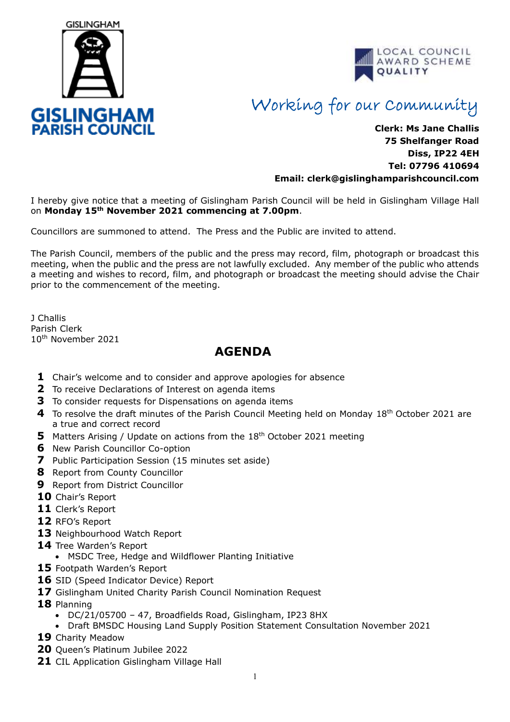



## Working for our Community

## **Clerk: Ms Jane Challis 75 Shelfanger Road Diss, IP22 4EH Tel: 07796 410694 Email: clerk[@gislinghamparishcouncil.com](mailto:gislinghamparishcouncil@gmail.com)**

I hereby give notice that a meeting of Gislingham Parish Council will be held in Gislingham Village Hall on **Monday 15th November 2021 commencing at 7.00pm**.

Councillors are summoned to attend. The Press and the Public are invited to attend.

The Parish Council, members of the public and the press may record, film, photograph or broadcast this meeting, when the public and the press are not lawfully excluded. Any member of the public who attends a meeting and wishes to record, film, and photograph or broadcast the meeting should advise the Chair prior to the commencement of the meeting.

J Challis Parish Clerk 10th November 2021

## **AGENDA**

- **1** Chair's welcome and to consider and approve apologies for absence
- **2** To receive Declarations of Interest on agenda items
- **3** To consider requests for Dispensations on agenda items
- **4** To resolve the draft minutes of the Parish Council Meeting held on Monday 18th October 2021 are a true and correct record
- **5** Matters Arising / Update on actions from the 18<sup>th</sup> October 2021 meeting
- **6** New Parish Councillor Co-option
- **7** Public Participation Session (15 minutes set aside)
- **8** Report from County Councillor
- **9** Report from District Councillor
- **10** Chair's Report
- **11** Clerk's Report
- **12** RFO's Report
- **13** Neighbourhood Watch Report
- **14** Tree Warden's Report
	- MSDC Tree, Hedge and Wildflower Planting Initiative
- **15** Footpath Warden's Report
- **16** SID (Speed Indicator Device) Report
- **17** Gislingham United Charity Parish Council Nomination Request
- **18** Planning
	- DC/21/05700 47, Broadfields Road, Gislingham, IP23 8HX
	- Draft BMSDC Housing Land Supply Position Statement Consultation November 2021
- **19** Charity Meadow
- **20** Queen's Platinum Jubilee 2022
- **21** CIL Application Gislingham Village Hall